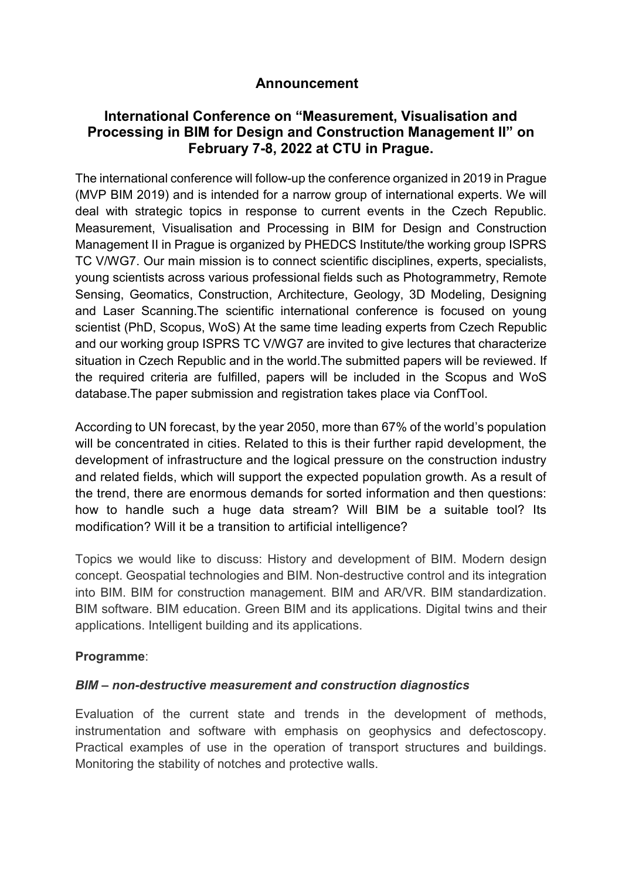## **Announcement**

# **International Conference on "Measurement, Visualisation and Processing in BIM for Design and Construction Management II" on February 7-8, 2022 at CTU in Prague.**

The international conference will follow-up the conference organized in 2019 in Prague (MVP BIM 2019) and is intended for a narrow group of international experts. We will deal with strategic topics in response to current events in the Czech Republic. Measurement, Visualisation and Processing in BIM for Design and Construction Management II in Prague is organized by PHEDCS Institute/the working group ISPRS TC V/WG7. Our main mission is to connect scientific disciplines, experts, specialists, young scientists across various professional fields such as Photogrammetry, Remote Sensing, Geomatics, Construction, Architecture, Geology, 3D Modeling, Designing and Laser Scanning.The scientific international conference is focused on young scientist (PhD, Scopus, WoS) At the same time leading experts from Czech Republic and our working group ISPRS TC V/WG7 are invited to give lectures that characterize situation in Czech Republic and in the world.The submitted papers will be reviewed. If the required criteria are fulfilled, papers will be included in the Scopus and WoS database.The paper submission and registration takes place via ConfTool.

According to UN forecast, by the year 2050, more than 67% of the world's population will be concentrated in cities. Related to this is their further rapid development, the development of infrastructure and the logical pressure on the construction industry and related fields, which will support the expected population growth. As a result of the trend, there are enormous demands for sorted information and then questions: how to handle such a huge data stream? Will BIM be a suitable tool? Its modification? Will it be a transition to artificial intelligence?

Topics we would like to discuss: History and development of BIM. Modern design concept. Geospatial technologies and BIM. Non-destructive control and its integration into BIM. BIM for construction management. BIM and AR/VR. BIM standardization. BIM software. BIM education. Green BIM and its applications. Digital twins and their applications. Intelligent building and its applications.

#### **Programme**:

#### *BIM – non-destructive measurement and construction diagnostics*

Evaluation of the current state and trends in the development of methods, instrumentation and software with emphasis on geophysics and defectoscopy. Practical examples of use in the operation of transport structures and buildings. Monitoring the stability of notches and protective walls.